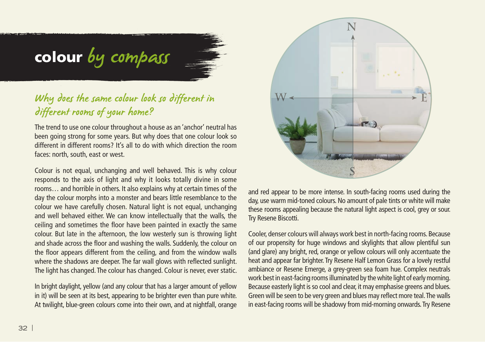# colour by compass

## Why does the same colour look so different in different rooms of your home?

The trend to use one colour throughout a house as an 'anchor' neutral has been going strong for some years. But why does that one colour look so different in different rooms? It's all to do with which direction the room faces: north, south, east or west.

Colour is not equal, unchanging and well behaved. This is why colour responds to the axis of light and why it looks totally divine in some rooms… and horrible in others. It also explains why at certain times of the day the colour morphs into a monster and bears little resemblance to the colour we have carefully chosen. Natural light is not equal, unchanging and well behaved either. We can know intellectually that the walls, the ceiling and sometimes the floor have been painted in exactly the same colour. But late in the afternoon, the low westerly sun is throwing light and shade across the floor and washing the walls. Suddenly, the colour on the floor appears different from the ceiling, and from the window walls where the shadows are deeper. The far wall glows with reflected sunlight. The light has changed. The colour has changed. Colour is never, ever static.

In bright daylight, yellow (and any colour that has a larger amount of yellow in it) will be seen at its best, appearing to be brighter even than pure white. At twilight, blue-green colours come into their own, and at nightfall, orange



and red appear to be more intense. In south-facing rooms used during the day, use warm mid-toned colours. No amount of pale tints or white will make these rooms appealing because the natural light aspect is cool, grey or sour. Try Resene Biscotti.

Cooler, denser colours will always work best in north-facing rooms. Because of our propensity for huge windows and skylights that allow plentiful sun (and glare) any bright, red, orange or yellow colours will only accentuate the heat and appear far brighter. Try Resene Half Lemon Grass for a lovely restful ambiance or Resene Emerge, a grey-green sea foam hue. Complex neutrals work best in east-facing rooms illuminated by the white light of early morning. Because easterly light is so cool and clear, it may emphasise greens and blues. Green will be seen to be very green and blues may reflect more teal. The walls in east-facing rooms will be shadowy from mid-morning onwards. Try Resene